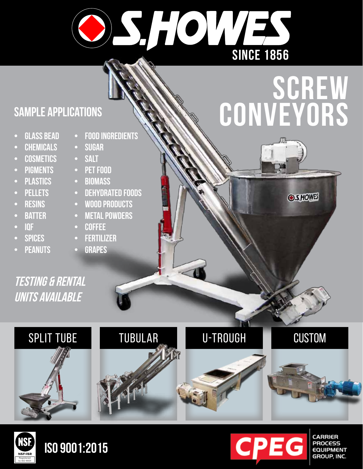

# **screw conveyors**

**O SHOWES** 

### **Sample applications**

- **• Glass Bead**
- **CHEMICALS**
- **• Cosmetics**
- **PIGMENTS**
- **• Plastics**
- **• Pellets**
- **• Resins**
- **• Batter**
- **• iqf**
- **• spices**
- **PEANUTS**
- **• food ingredients**
- **• Sugar**
- **• Salt**
- **PET FOOD**
- **• biomass**
- **DEHYDRATED FOODS**
- **• wood products**
- **• metal powders**
- **• coffee**
- **• fertilizer**
- **GRAPES**

**testing & rental units available**





## **iso 9001:2015**